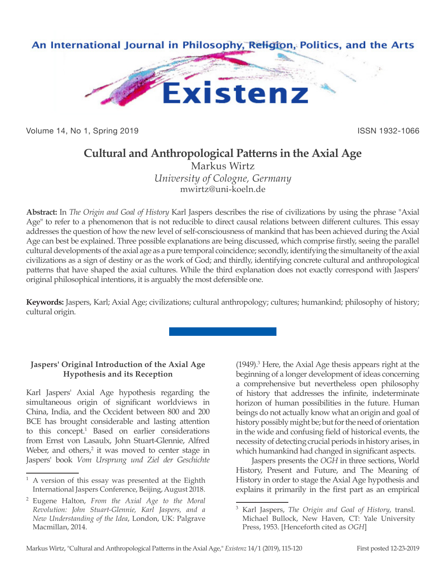

Volume 14, No 1, Spring 2019 **ISSN 1932-1066** 

# **Cultural and Anthropological Patterns in the Axial Age**

Markus Wirtz *University of Cologne, Germany* mwirtz@uni-koeln.de

**Abstract:** In *The Origin and Goal of History* Karl Jaspers describes the rise of civilizations by using the phrase "Axial Age" to refer to a phenomenon that is not reducible to direct causal relations between different cultures. This essay addresses the question of how the new level of self-consciousness of mankind that has been achieved during the Axial Age can best be explained. Three possible explanations are being discussed, which comprise firstly, seeing the parallel cultural developments of the axial age as a pure temporal coincidence; secondly, identifying the simultaneity of the axial civilizations as a sign of destiny or as the work of God; and thirdly, identifying concrete cultural and anthropological patterns that have shaped the axial cultures. While the third explanation does not exactly correspond with Jaspers' original philosophical intentions, it is arguably the most defensible one.

**Keywords:** Jaspers, Karl; Axial Age; civilizations; cultural anthropology; cultures; humankind; philosophy of history; cultural origin.

## **Jaspers' Original Introduction of the Axial Age Hypothesis and its Reception**

Karl Jaspers' Axial Age hypothesis regarding the simultaneous origin of significant worldviews in China, India, and the Occident between 800 and 200 BCE has brought considerable and lasting attention to this concept.<sup>1</sup> Based on earlier considerations from Ernst von Lasaulx, John Stuart-Glennie, Alfred Weber, and others,<sup>2</sup> it was moved to center stage in Jaspers' book *Vom Ursprung und Ziel der Geschichte* 

(1949).3 Here, the Axial Age thesis appears right at the beginning of a longer development of ideas concerning a comprehensive but nevertheless open philosophy of history that addresses the infinite, indeterminate horizon of human possibilities in the future. Human beings do not actually know what an origin and goal of history possibly might be; but for the need of orientation in the wide and confusing field of historical events, the necessity of detecting crucial periods in history arises, in which humankind had changed in significant aspects.

Jaspers presents the *OGH* in three sections, World History, Present and Future, and The Meaning of History in order to stage the Axial Age hypothesis and explains it primarily in the first part as an empirical

<sup>1</sup> A version of this essay was presented at the Eighth International Jaspers Conference, Beijing, August 2018.

<sup>2</sup> Eugene Halton, *From the Axial Age to the Moral Revolution: John Stuart-Glennie, Karl Jaspers, and a New Understanding of the Idea*, London, UK: Palgrave Macmillan, 2014.

<sup>3</sup> Karl Jaspers, *The Origin and Goal of History*, transl. Michael Bullock, New Haven, CT: Yale University Press, 1953. [Henceforth cited as *OGH*]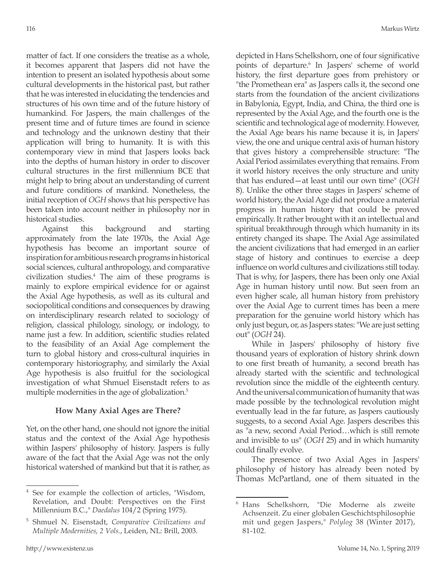matter of fact. If one considers the treatise as a whole, it becomes apparent that Jaspers did not have the intention to present an isolated hypothesis about some cultural developments in the historical past, but rather that he was interested in elucidating the tendencies and structures of his own time and of the future history of humankind. For Jaspers, the main challenges of the present time and of future times are found in science and technology and the unknown destiny that their application will bring to humanity. It is with this contemporary view in mind that Jaspers looks back into the depths of human history in order to discover cultural structures in the first millennium BCE that might help to bring about an understanding of current and future conditions of mankind. Nonetheless, the initial reception of *OGH* shows that his perspective has been taken into account neither in philosophy nor in historical studies.

Against this background and starting approximately from the late 1970s, the Axial Age hypothesis has become an important source of inspiration for ambitious research programs in historical social sciences, cultural anthropology, and comparative civilization studies.4 The aim of these programs is mainly to explore empirical evidence for or against the Axial Age hypothesis, as well as its cultural and sociopolitical conditions and consequences by drawing on interdisciplinary research related to sociology of religion, classical philology, sinology, or indology, to name just a few. In addition, scientific studies related to the feasibility of an Axial Age complement the turn to global history and cross-cultural inquiries in contemporary historiography, and similarly the Axial Age hypothesis is also fruitful for the sociological investigation of what Shmuel Eisenstadt refers to as multiple modernities in the age of globalization.<sup>5</sup>

#### **How Many Axial Ages are There?**

Yet, on the other hand, one should not ignore the initial status and the context of the Axial Age hypothesis within Jaspers' philosophy of history. Jaspers is fully aware of the fact that the Axial Age was not the only historical watershed of mankind but that it is rather, as depicted in Hans Schelkshorn, one of four significative points of departure.<sup>6</sup> In Jaspers' scheme of world history, the first departure goes from prehistory or "the Promethean era" as Jaspers calls it, the second one starts from the foundation of the ancient civilizations in Babylonia, Egypt, India, and China, the third one is represented by the Axial Age, and the fourth one is the scientific and technological age of modernity. However, the Axial Age bears his name because it is, in Japers' view, the one and unique central axis of human history that gives history a comprehensible structure: "The Axial Period assimilates everything that remains. From it world history receives the only structure and unity that has endured—at least until our own time" (*OGH* 8). Unlike the other three stages in Jaspers' scheme of world history, the Axial Age did not produce a material progress in human history that could be proved empirically. It rather brought with it an intellectual and spiritual breakthrough through which humanity in its entirety changed its shape. The Axial Age assimilated the ancient civilizations that had emerged in an earlier stage of history and continues to exercise a deep influence on world cultures and civilizations still today. That is why, for Jaspers, there has been only one Axial Age in human history until now. But seen from an even higher scale, all human history from prehistory over the Axial Age to current times has been a mere preparation for the genuine world history which has only just begun, or, as Jaspers states: "We are just setting out" (*OGH* 24).

While in Jaspers' philosophy of history five thousand years of exploration of history shrink down to one first breath of humanity, a second breath has already started with the scientific and technological revolution since the middle of the eighteenth century. And the universal communication of humanity that was made possible by the technological revolution might eventually lead in the far future, as Jaspers cautiously suggests, to a second Axial Age. Jaspers describes this as "a new, second Axial Period…which is still remote and invisible to us" (*OGH* 25) and in which humanity could finally evolve.

The presence of two Axial Ages in Jaspers' philosophy of history has already been noted by Thomas McPartland, one of them situated in the

See for example the collection of articles, "Wisdom, Revelation, and Doubt: Perspectives on the First Millennium B.C.," *Daedalus* 104/2 (Spring 1975).

<sup>5</sup> Shmuel N. Eisenstadt, *Comparative Civilizations and Multiple Modernities, 2 Vols.*, Leiden, NL: Brill, 2003.

<sup>6</sup> Hans Schelkshorn, "Die Moderne als zweite Achsenzeit. Zu einer globalen Geschichtsphilosophie mit und gegen Jaspers," *Polylog* 38 (Winter 2017), 81-102.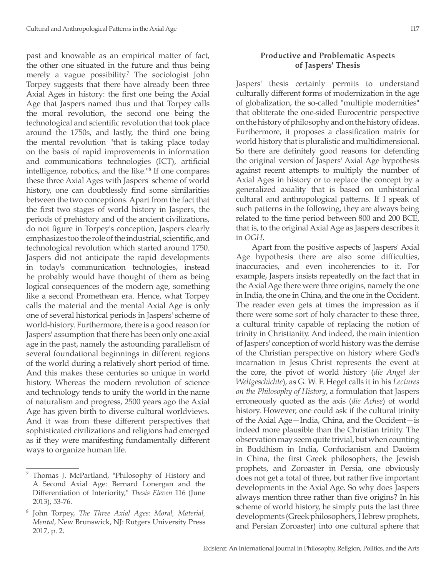past and knowable as an empirical matter of fact, the other one situated in the future and thus being merely a vague possibility.<sup>7</sup> The sociologist John Torpey suggests that there have already been three Axial Ages in history: the first one being the Axial Age that Jaspers named thus und that Torpey calls the moral revolution, the second one being the technological and scientific revolution that took place around the 1750s, and lastly, the third one being the mental revolution "that is taking place today on the basis of rapid improvements in information and communications technologies (ICT), artificial intelligence, robotics, and the like."8 If one compares these three Axial Ages with Jaspers' scheme of world history, one can doubtlessly find some similarities between the two conceptions. Apart from the fact that the first two stages of world history in Jaspers, the periods of prehistory and of the ancient civilizations, do not figure in Torpey's conception, Jaspers clearly emphasizes too the role of the industrial, scientific, and technological revolution which started around 1750. Jaspers did not anticipate the rapid developments in today's communication technologies, instead he probably would have thought of them as being logical consequences of the modern age, something like a second Promethean era. Hence, what Torpey calls the material and the mental Axial Age is only one of several historical periods in Jaspers' scheme of world-history. Furthermore, there is a good reason for Jaspers' assumption that there has been only one axial age in the past, namely the astounding parallelism of several foundational beginnings in different regions of the world during a relatively short period of time. And this makes these centuries so unique in world history. Whereas the modern revolution of science and technology tends to unify the world in the name of naturalism and progress, 2500 years ago the Axial Age has given birth to diverse cultural worldviews. And it was from these different perspectives that sophisticated civilizations and religions had emerged as if they were manifesting fundamentally different ways to organize human life.

#### **Productive and Problematic Aspects of Jaspers' Thesis**

Jaspers' thesis certainly permits to understand culturally different forms of modernization in the age of globalization, the so-called "multiple modernities" that obliterate the one-sided Eurocentric perspective on the history of philosophy and on the history of ideas. Furthermore, it proposes a classification matrix for world history that is pluralistic and multidimensional. So there are definitely good reasons for defending the original version of Jaspers' Axial Age hypothesis against recent attempts to multiply the number of Axial Ages in history or to replace the concept by a generalized axiality that is based on unhistorical cultural and anthropological patterns. If I speak of such patterns in the following, they are always being related to the time period between 800 and 200 BCE, that is, to the original Axial Age as Jaspers describes it in *OGH*.

Apart from the positive aspects of Jaspers' Axial Age hypothesis there are also some difficulties, inaccuracies, and even incoherencies to it. For example, Jaspers insists repeatedly on the fact that in the Axial Age there were three origins, namely the one in India, the one in China, and the one in the Occident. The reader even gets at times the impression as if there were some sort of holy character to these three, a cultural trinity capable of replacing the notion of trinity in Christianity. And indeed, the main intention of Jaspers' conception of world history was the demise of the Christian perspective on history where God's incarnation in Jesus Christ represents the event at the core, the pivot of world history (*die Angel der Weltgeschichte*), as G. W. F. Hegel calls it in his *Lectures on the Philosophy of History*, a formulation that Jaspers erroneously quoted as the axis (*die Achse*) of world history. However, one could ask if the cultural trinity of the Axial Age—India, China, and the Occident—is indeed more plausible than the Christian trinity. The observation may seem quite trivial, but when counting in Buddhism in India, Confucianism and Daoism in China, the first Greek philosophers, the Jewish prophets, and Zoroaster in Persia, one obviously does not get a total of three, but rather five important developments in the Axial Age. So why does Jaspers always mention three rather than five origins? In his scheme of world history, he simply puts the last three developments (Greek philosophers, Hebrew prophets, and Persian Zoroaster) into one cultural sphere that

<sup>7</sup> Thomas J. McPartland, "Philosophy of History and A Second Axial Age: Bernard Lonergan and the Differentiation of Interiority," *Thesis Eleven* 116 (June 2013), 53-76.

<sup>8</sup> John Torpey, *The Three Axial Ages: Moral, Material, Mental*, New Brunswick, NJ: Rutgers University Press 2017, p. 2.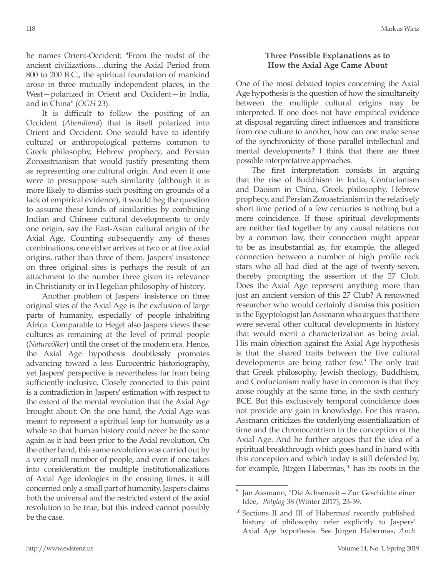he names Orient-Occident: "From the midst of the ancient civilizations…during the Axial Period from 800 to 200 B.C., the spiritual foundation of mankind arose in three mutually independent places, in the West—polarized in Orient and Occident—in India, and in China" (*OGH* 23).

It is difficult to follow the positing of an Occident (*Abendland*) that is itself polarized into Orient and Occident. One would have to identify cultural or anthropological patterns common to Greek philosophy, Hebrew prophecy, and Persian Zoroastrianism that would justify presenting them as representing one cultural origin. And even if one were to presuppose such similarity (although it is more likely to dismiss such positing on grounds of a lack of empirical evidence), it would beg the question to assume these kinds of similarities by combining Indian and Chinese cultural developments to only one origin, say the East-Asian cultural origin of the Axial Age. Counting subsequently any of theses combinations, one either arrives at two or at five axial origins, rather than three of them. Jaspers' insistence on three original sites is perhaps the result of an attachment to the number three given its relevance in Christianity or in Hegelian philosophy of history.

Another problem of Jaspers' insistence on three original sites of the Axial Age is the exclusion of large parts of humanity, especially of people inhabiting Africa. Comparable to Hegel also Jaspers views these cultures as remaining at the level of primal people (*Naturvölker*) until the onset of the modern era. Hence, the Axial Age hypothesis doubtlessly promotes advancing toward a less Eurocentric historiography, yet Jaspers' perspective is nevertheless far from being sufficiently inclusive. Closely connected to this point is a contradiction in Jaspers' estimation with respect to the extent of the mental revolution that the Axial Age brought about: On the one hand, the Axial Age was meant to represent a spiritual leap for humanity as a whole so that human history could never be the same again as it had been prior to the Axial revolution. On the other hand, this same revolution was carried out by a very small number of people, and even if one takes into consideration the multiple institutionalizations of Axial Age ideologies in the ensuing times, it still concerned only a small part of humanity. Jaspers claims both the universal and the restricted extent of the axial revolution to be true, but this indeed cannot possibly be the case.

### **Three Possible Explanations as to How the Axial Age Came About**

One of the most debated topics concerning the Axial Age hypothesis is the question of how the simultaneity between the multiple cultural origins may be interpreted. If one does not have empirical evidence at disposal regarding direct influences and transitions from one culture to another, how can one make sense of the synchronicity of those parallel intellectual and mental developments? I think that there are three possible interpretative approaches.

The first interpretation consists in arguing that the rise of Buddhism in India, Confucianism and Daoism in China, Greek philosophy, Hebrew prophecy, and Persian Zoroastrianism in the relatively short time period of a few centuries is nothing but a mere coincidence. If those spiritual developments are neither tied together by any causal relations nor by a common law, their connection might appear to be as insubstantial as, for example, the alleged connection between a number of high profile rock stars who all had died at the age of twenty-seven, thereby prompting the assertion of the 27 Club. Does the Axial Age represent anything more than just an ancient version of this 27 Club? A renowned researcher who would certainly dismiss this position is the Egyptologist Jan Assmann who argues that there were several other cultural developments in history that would merit a characterization as being axial. His main objection against the Axial Age hypothesis is that the shared traits between the five cultural developments are being rather few.9 The only trait that Greek philosophy, Jewish theology, Buddhism, and Confucianism really have in common is that they arose roughly at the same time, in the sixth century BCE. But this exclusively temporal coincidence does not provide any gain in knowledge. For this reason, Assmann criticizes the underlying essentialization of time and the chronocentrism in the conception of the Axial Age. And he further argues that the idea of a spiritual breakthrough which goes hand in hand with this conception and which today is still defended by, for example, Jürgen Habermas,<sup>10</sup> has its roots in the

<sup>9</sup> Jan Assmann, "Die Achsenzeit—Zur Geschichte einer Idee," *Polylog* 38 (Winter 2017), 23-39.

<sup>10</sup> Sections II and III of Habermas' recently published history of philosophy refer explicitly to Jaspers' Axial Age hypothesis. See Jürgen Habermas, *Auch*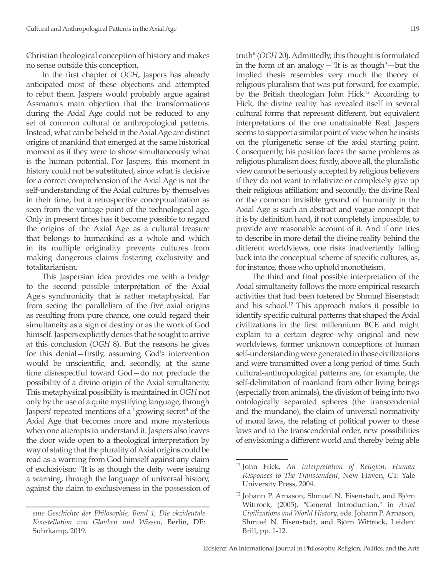Christian theological conception of history and makes no sense outside this conception.

In the first chapter of *OGH*, Jaspers has already anticipated most of these objections and attempted to rebut them. Jaspers would probably argue against Assmann's main objection that the transformations during the Axial Age could not be reduced to any set of common cultural or anthropological patterns. Instead, what can be beheld in the Axial Age are distinct origins of mankind that emerged at the same historical moment as if they were to show simultaneously what is the human potential. For Jaspers, this moment in history could not be substituted, since what is decisive for a correct comprehension of the Axial Age is not the self-understanding of the Axial cultures by themselves in their time, but a retrospective conceptualization as seen from the vantage point of the technological age. Only in present times has it become possible to regard the origins of the Axial Age as a cultural treasure that belongs to humankind as a whole and which in its multiple originality prevents cultures from making dangerous claims fostering exclusivity and totalitarianism.

This Jaspersian idea provides me with a bridge to the second possible interpretation of the Axial Age's synchronicity that is rather metaphysical. Far from seeing the parallelism of the five axial origins as resulting from pure chance, one could regard their simultaneity as a sign of destiny or as the work of God himself. Jaspers explicitly denies that he sought to arrive at this conclusion (*OGH* 8). But the reasons he gives for this denial—firstly, assuming God's intervention would be unscientific, and, secondly, at the same time disrespectful toward God—do not preclude the possibility of a divine origin of the Axial simultaneity. This metaphysical possibility is maintained in *OGH* not only by the use of a quite mystifying language, through Jaspers' repeated mentions of a "growing secret" of the Axial Age that becomes more and more mysterious when one attempts to understand it. Jaspers also leaves the door wide open to a theological interpretation by way of stating that the plurality of Axial origins could be read as a warning from God himself against any claim of exclusivism: "It is as though the deity were issuing a warning, through the language of universal history, against the claim to exclusiveness in the possession of truth" (*OGH* 20). Admittedly, this thought is formulated in the form of an analogy—"It is as though"—but the implied thesis resembles very much the theory of religious pluralism that was put forward, for example, by the British theologian John Hick.<sup>11</sup> According to Hick, the divine reality has revealed itself in several cultural forms that represent different, but equivalent interpretations of the one unattainable Real. Jaspers seems to support a similar point of view when he insists on the plurigenetic sense of the axial starting point. Consequently, his position faces the same problems as religious pluralism does: firstly, above all, the pluralistic view cannot be seriously accepted by religious believers if they do not want to relativize or completely give up their religious affiliation; and secondly, the divine Real or the common invisible ground of humanity in the Axial Age is such an abstract and vague concept that it is by definition hard, if not completely impossible, to provide any reasonable account of it. And if one tries to describe in more detail the divine reality behind the different worldviews, one risks inadvertently falling back into the conceptual scheme of specific cultures, as, for instance, those who uphold monotheism.

The third and final possible interpretation of the Axial simultaneity follows the more empirical research activities that had been fostered by Shmuel Eisenstadt and his school.12 This approach makes it possible to identify specific cultural patterns that shaped the Axial civilizations in the first millennium BCE and might explain to a certain degree why original and new worldviews, former unknown conceptions of human self-understanding were generated in those civilizations and were transmitted over a long period of time. Such cultural-anthropological patterns are, for example, the self-delimitation of mankind from other living beings (especially from animals), the division of being into two ontologically separated spheres (the transcendental and the mundane), the claim of universal normativity of moral laws, the relating of political power to these laws and to the transcendental order, new possibilities of envisioning a different world and thereby being able

*eine Geschichte der Philosophie, Band 1, Die okzidentale Konstellation von Glauben und Wissen*, Berlin, DE: Suhrkamp, 2019.

<sup>11</sup> John Hick, *An Interpretation of Religion. Human Responses to The Transcendent*, New Haven, CT: Yale University Press, 2004.

<sup>&</sup>lt;sup>12</sup> Johann P. Arnason, Shmuel N. Eisenstadt, and Björn Wittrock, (2005). "General Introduction," in *Axial Civilizations and World History*, eds. Johann P. Arnason, Shmuel N. Eisenstadt, and Björn Wittrock, Leiden: Brill, pp. 1-12.